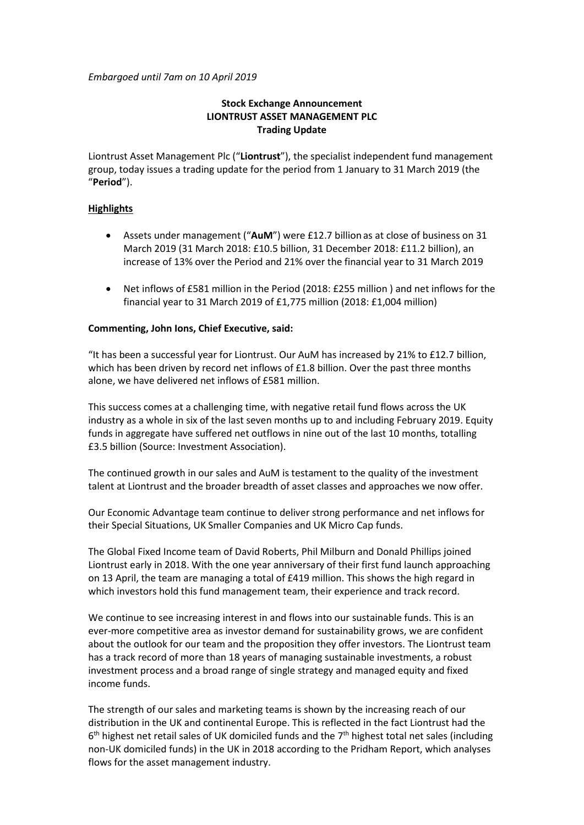*Embargoed until 7am on 10 April 2019*

# **Stock Exchange Announcement LIONTRUST ASSET MANAGEMENT PLC Trading Update**

Liontrust Asset Management Plc ("**Liontrust**"), the specialist independent fund management group, today issues a trading update for the period from 1 January to 31 March 2019 (the "**Period**").

## **Highlights**

- Assets under management ("**AuM**") were £12.7 billionas at close of business on 31 March 2019 (31 March 2018: £10.5 billion, 31 December 2018: £11.2 billion), an increase of 13% over the Period and 21% over the financial year to 31 March 2019
- Net inflows of £581 million in the Period (2018: £255 million ) and net inflows for the financial year to 31 March 2019 of £1,775 million (2018: £1,004 million)

# **Commenting, John Ions, Chief Executive, said:**

"It has been a successful year for Liontrust. Our AuM has increased by 21% to £12.7 billion, which has been driven by record net inflows of £1.8 billion. Over the past three months alone, we have delivered net inflows of £581 million.

This success comes at a challenging time, with negative retail fund flows across the UK industry as a whole in six of the last seven months up to and including February 2019. Equity funds in aggregate have suffered net outflows in nine out of the last 10 months, totalling £3.5 billion (Source: Investment Association).

The continued growth in our sales and AuM is testament to the quality of the investment talent at Liontrust and the broader breadth of asset classes and approaches we now offer.

Our Economic Advantage team continue to deliver strong performance and net inflows for their Special Situations, UK Smaller Companies and UK Micro Cap funds.

The Global Fixed Income team of David Roberts, Phil Milburn and Donald Phillips joined Liontrust early in 2018. With the one year anniversary of their first fund launch approaching on 13 April, the team are managing a total of £419 million. This shows the high regard in which investors hold this fund management team, their experience and track record.

We continue to see increasing interest in and flows into our sustainable funds. This is an ever-more competitive area as investor demand for sustainability grows, we are confident about the outlook for our team and the proposition they offer investors. The Liontrust team has a track record of more than 18 years of managing sustainable investments, a robust investment process and a broad range of single strategy and managed equity and fixed income funds.

The strength of our sales and marketing teams is shown by the increasing reach of our distribution in the UK and continental Europe. This is reflected in the fact Liontrust had the  $6<sup>th</sup>$  highest net retail sales of UK domiciled funds and the  $7<sup>th</sup>$  highest total net sales (including non-UK domiciled funds) in the UK in 2018 according to the Pridham Report, which analyses flows for the asset management industry.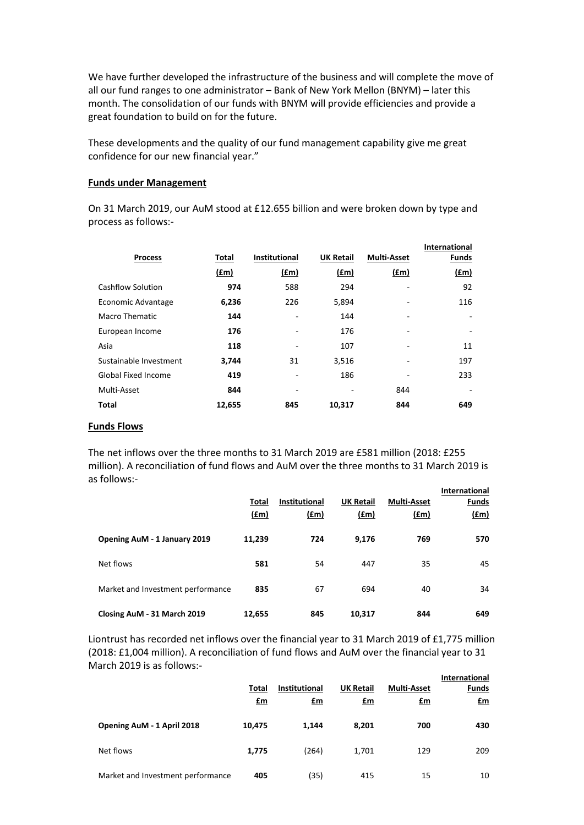We have further developed the infrastructure of the business and will complete the move of all our fund ranges to one administrator – Bank of New York Mellon (BNYM) – later this month. The consolidation of our funds with BNYM will provide efficiencies and provide a great foundation to build on for the future.

These developments and the quality of our fund management capability give me great confidence for our new financial year."

### **Funds under Management**

On 31 March 2019, our AuM stood at £12.655 billion and were broken down by type and process as follows:-

|                            |        |                      |                  |                    | <b>International</b> |
|----------------------------|--------|----------------------|------------------|--------------------|----------------------|
| <b>Process</b>             | Total  | <b>Institutional</b> | <b>UK Retail</b> | <b>Multi-Asset</b> | <b>Funds</b>         |
|                            | (£m)   | (fm)                 | f(m)             | (fm)               | (fm)                 |
| Cashflow Solution          | 974    | 588                  | 294              | ۰                  | 92                   |
| Economic Advantage         | 6,236  | 226                  | 5,894            | ۰                  | 116                  |
| Macro Thematic             | 144    |                      | 144              | ۰                  |                      |
| European Income            | 176    |                      | 176              | ۰                  |                      |
| Asia                       | 118    | -                    | 107              | ۰                  | 11                   |
| Sustainable Investment     | 3,744  | 31                   | 3,516            | ۰                  | 197                  |
| <b>Global Fixed Income</b> | 419    | ٠                    | 186              |                    | 233                  |
| Multi-Asset                | 844    | -                    | ۰                | 844                |                      |
| Total                      | 12,655 | 845                  | 10,317           | 844                | 649                  |

#### **Funds Flows**

The net inflows over the three months to 31 March 2019 are £581 million (2018: £255 million). A reconciliation of fund flows and AuM over the three months to 31 March 2019 is as follows:-

|                                   | Total         | <b>Institutional</b> | <b>UK Retail</b> | <b>Multi-Asset</b> | <b>International</b><br><b>Funds</b> |
|-----------------------------------|---------------|----------------------|------------------|--------------------|--------------------------------------|
|                                   | $(\text{fm})$ | f(m)                 | (f.m)            | <u>(£m)</u>        | f(m)                                 |
| Opening AuM - 1 January 2019      | 11,239        | 724                  | 9.176            | 769                | 570                                  |
| Net flows                         | 581           | 54                   | 447              | 35                 | 45                                   |
| Market and Investment performance | 835           | 67                   | 694              | 40                 | 34                                   |
| Closing AuM - 31 March 2019       | 12,655        | 845                  | 10,317           | 844                | 649                                  |

Liontrust has recorded net inflows over the financial year to 31 March 2019 of £1,775 million (2018: £1,004 million). A reconciliation of fund flows and AuM over the financial year to 31 March 2019 is as follows:- **International**

|                                   | Total<br><u>£m</u> | <b>Institutional</b><br><u>£m</u> | <b>UK Retail</b><br><u>£m</u> | <b>Multi-Asset</b><br>$\mathbf{f}$ m | miernational<br>Funds<br><u>£m</u> |
|-----------------------------------|--------------------|-----------------------------------|-------------------------------|--------------------------------------|------------------------------------|
| Opening AuM - 1 April 2018        | 10,475             | 1,144                             | 8,201                         | 700                                  | 430                                |
| Net flows                         | 1,775              | (264)                             | 1,701                         | 129                                  | 209                                |
| Market and Investment performance | 405                | (35)                              | 415                           | 15                                   | 10                                 |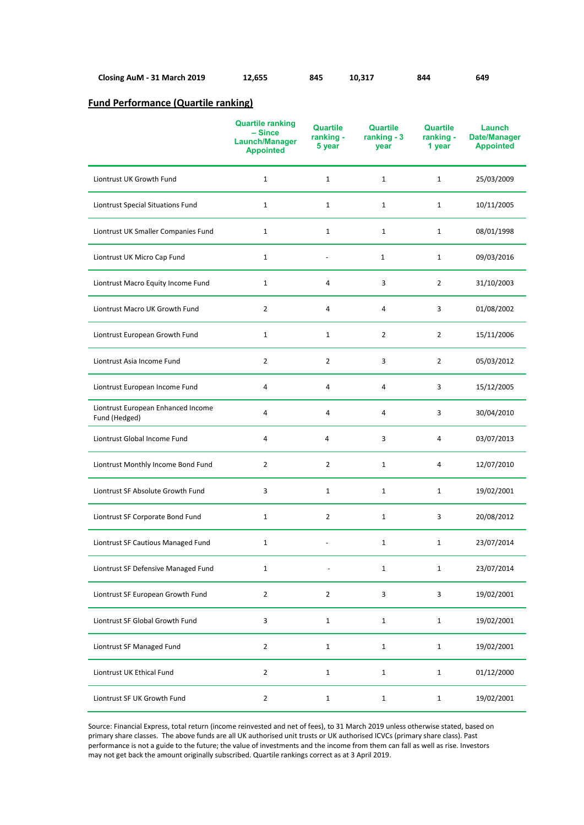| Closing AuM - 31 March 2019 | 12,655 | 845 | 10,317 | 844 | 649 |
|-----------------------------|--------|-----|--------|-----|-----|
|-----------------------------|--------|-----|--------|-----|-----|

# **Fund Performance (Quartile ranking)**

|                                                     | <b>Quartile ranking</b><br>$-Since$<br>Launch/Manager<br><b>Appointed</b> | Quartile<br>ranking -<br>5 year | <b>Quartile</b><br>ranking $-3$<br>year | Quartile<br>ranking -<br>1 year | Launch<br><b>Date/Manager</b><br><b>Appointed</b> |
|-----------------------------------------------------|---------------------------------------------------------------------------|---------------------------------|-----------------------------------------|---------------------------------|---------------------------------------------------|
| Liontrust UK Growth Fund                            | $\mathbf{1}$                                                              | $\mathbf 1$                     | $\mathbf{1}$                            | $\mathbf{1}$                    | 25/03/2009                                        |
| Liontrust Special Situations Fund                   | $\mathbf{1}$                                                              | $\mathbf{1}$                    | $\mathbf{1}$                            | $\mathbf{1}$                    | 10/11/2005                                        |
| Liontrust UK Smaller Companies Fund                 | $\mathbf{1}$                                                              | $\mathbf{1}$                    | $\mathbf{1}$                            | $\mathbf{1}$                    | 08/01/1998                                        |
| Liontrust UK Micro Cap Fund                         | $\mathbf{1}$                                                              |                                 | $\mathbf{1}$                            | $\mathbf{1}$                    | 09/03/2016                                        |
| Liontrust Macro Equity Income Fund                  | $\mathbf{1}$                                                              | 4                               | 3                                       | $\overline{2}$                  | 31/10/2003                                        |
| Liontrust Macro UK Growth Fund                      | $\overline{2}$                                                            | 4                               | 4                                       | 3                               | 01/08/2002                                        |
| Liontrust European Growth Fund                      | $\mathbf{1}$                                                              | $\mathbf{1}$                    | $\overline{2}$                          | $\overline{2}$                  | 15/11/2006                                        |
| Liontrust Asia Income Fund                          | $\overline{2}$                                                            | $\overline{2}$                  | 3                                       | $\overline{2}$                  | 05/03/2012                                        |
| Liontrust European Income Fund                      | 4                                                                         | 4                               | 4                                       | 3                               | 15/12/2005                                        |
| Liontrust European Enhanced Income<br>Fund (Hedged) | 4                                                                         | 4                               | 4                                       | 3                               | 30/04/2010                                        |
| Liontrust Global Income Fund                        | 4                                                                         | $\overline{4}$                  | 3                                       | 4                               | 03/07/2013                                        |
| Liontrust Monthly Income Bond Fund                  | $\overline{2}$                                                            | $\overline{2}$                  | $\mathbf{1}$                            | 4                               | 12/07/2010                                        |
| Liontrust SF Absolute Growth Fund                   | 3                                                                         | $\mathbf{1}$                    | $\mathbf{1}$                            | $\mathbf{1}$                    | 19/02/2001                                        |
| Liontrust SF Corporate Bond Fund                    | $\mathbf{1}$                                                              | $\overline{2}$                  | $\mathbf{1}$                            | 3                               | 20/08/2012                                        |
| Liontrust SF Cautious Managed Fund                  | $\mathbf{1}$                                                              |                                 | $\mathbf 1$                             | $\mathbf{1}$                    | 23/07/2014                                        |
| Liontrust SF Defensive Managed Fund                 | $\mathbf{1}$                                                              |                                 | $\mathbf{1}$                            | $\mathbf{1}$                    | 23/07/2014                                        |
| Liontrust SF European Growth Fund                   | $\overline{2}$                                                            | $\overline{2}$                  | 3                                       | 3                               | 19/02/2001                                        |
| Liontrust SF Global Growth Fund                     | 3                                                                         | $\mathbf 1$                     | $\mathbf 1$                             | $\mathbf 1$                     | 19/02/2001                                        |
| Liontrust SF Managed Fund                           | $\overline{2}$                                                            | $\mathbf 1$                     | $\mathbf 1$                             | $\mathbf{1}$                    | 19/02/2001                                        |
| Liontrust UK Ethical Fund                           | $\overline{2}$                                                            | $\mathbf{1}$                    | $\mathbf 1$                             | $\mathbf{1}$                    | 01/12/2000                                        |
| Liontrust SF UK Growth Fund                         | $\mathbf{2}$                                                              | $\mathbf 1$                     | $\mathbf 1$                             | $\mathbf{1}$                    | 19/02/2001                                        |

Source: Financial Express, total return (income reinvested and net of fees), to 31 March 2019 unless otherwise stated, based on primary share classes. The above funds are all UK authorised unit trusts or UK authorised ICVCs (primary share class). Past performance is not a guide to the future; the value of investments and the income from them can fall as well as rise. Investors may not get back the amount originally subscribed. Quartile rankings correct as at 3 April 2019.